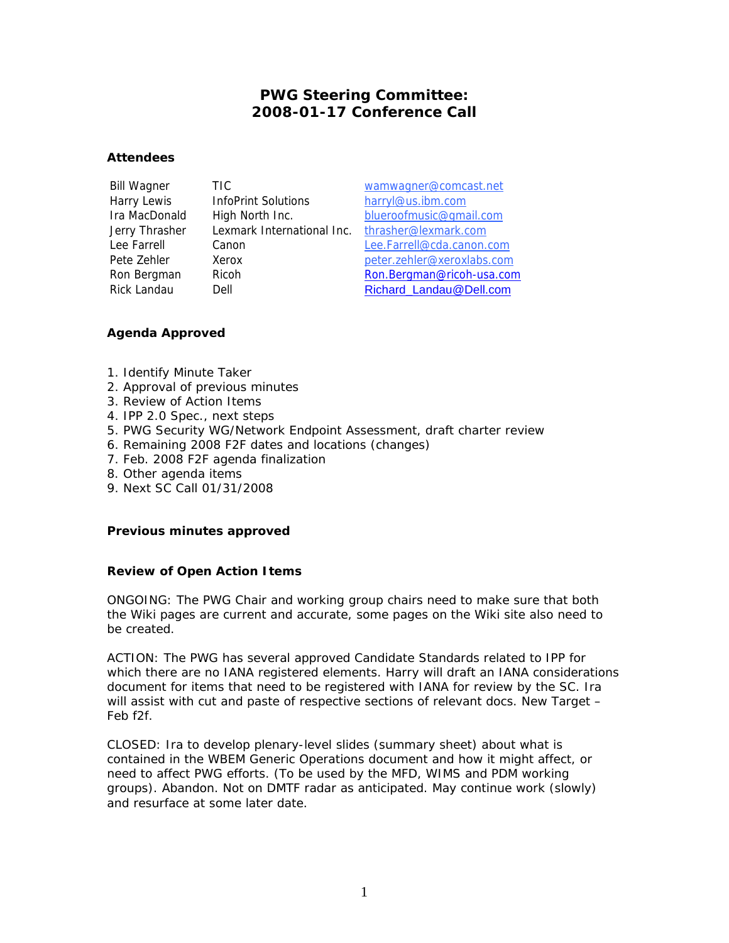# **PWG Steering Committee: 2008-01-17 Conference Call**

# **Attendees**

Harry Lewis InfoPrint Solutions harryl@us.ibm.com Jerry Thrasher Lexmark International Inc. thrasher@lexmark.com

Bill Wagner TIC wamwagner@comcast.net Ira MacDonald High North Inc. blueroofmusic@gmail.com Lee Farrell Canon Lee.Farrell@cda.canon.com Pete Zehler Xerox beter.zehler@xeroxlabs.com Ron Bergman Ricoh Ron.Bergman@ricoh-usa.com Rick Landau Dell Dell Richard Landau@Dell.com

# **Agenda Approved**

- 1. Identify Minute Taker
- 2. Approval of previous minutes
- 3. Review of Action Items
- 4. IPP 2.0 Spec., next steps
- 5. PWG Security WG/Network Endpoint Assessment, draft charter review
- 6. Remaining 2008 F2F dates and locations (changes)
- 7. Feb. 2008 F2F agenda finalization
- 8. Other agenda items
- 9. Next SC Call 01/31/2008

# **Previous minutes approved**

# **Review of Open Action Items**

ONGOING: The PWG Chair and working group chairs need to make sure that both the Wiki pages are current and accurate, some pages on the Wiki site also need to be created.

ACTION: The PWG has several approved Candidate Standards related to IPP for which there are no IANA registered elements. Harry will draft an IANA considerations document for items that need to be registered with IANA for review by the SC. Ira will assist with cut and paste of respective sections of relevant docs. New Target – Feb f2f.

CLOSED: Ira to develop plenary-level slides (summary sheet) about what is contained in the WBEM Generic Operations document and how it might affect, or need to affect PWG efforts. (To be used by the MFD, WIMS and PDM working groups). Abandon. Not on DMTF radar as anticipated. May continue work (slowly) and resurface at some later date.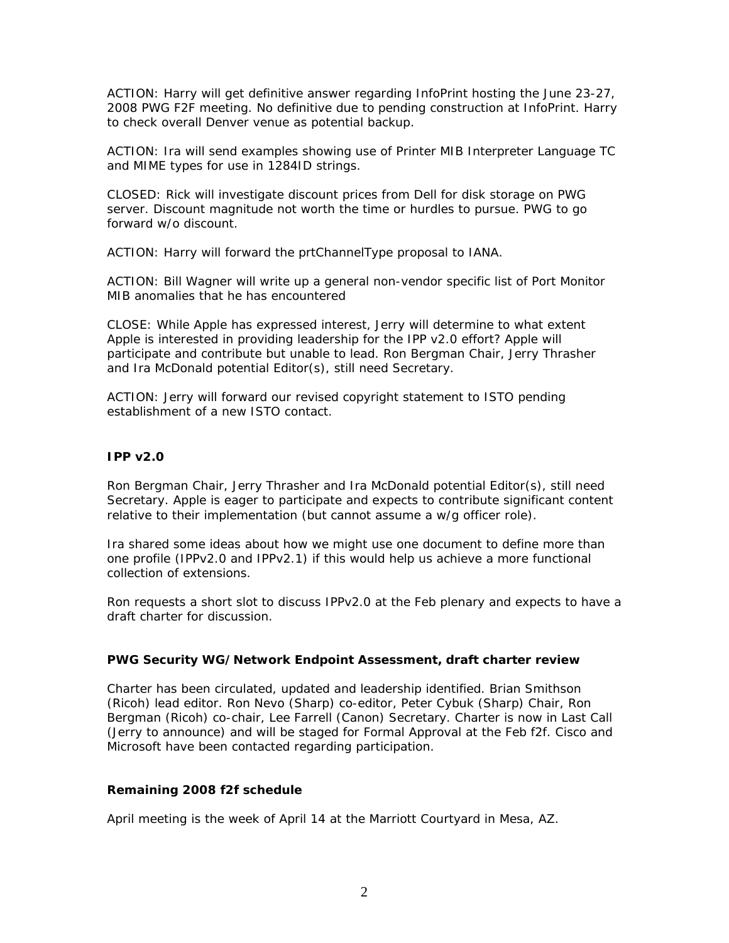ACTION: Harry will get definitive answer regarding InfoPrint hosting the June 23-27, 2008 PWG F2F meeting. No definitive due to pending construction at InfoPrint. Harry to check overall Denver venue as potential backup.

ACTION: Ira will send examples showing use of Printer MIB Interpreter Language TC and MIME types for use in 1284ID strings.

CLOSED: Rick will investigate discount prices from Dell for disk storage on PWG server. Discount magnitude not worth the time or hurdles to pursue. PWG to go forward w/o discount.

ACTION: Harry will forward the prtChannelType proposal to IANA.

ACTION: Bill Wagner will write up a general non-vendor specific list of Port Monitor MIB anomalies that he has encountered

CLOSE: While Apple has expressed interest, Jerry will determine to what extent Apple is interested in providing leadership for the IPP v2.0 effort? Apple will participate and contribute but unable to lead. Ron Bergman Chair, Jerry Thrasher and Ira McDonald potential Editor(s), still need Secretary.

ACTION: Jerry will forward our revised copyright statement to ISTO pending establishment of a new ISTO contact.

#### **IPP v2.0**

Ron Bergman Chair, Jerry Thrasher and Ira McDonald potential Editor(s), still need Secretary. Apple is eager to participate and expects to contribute significant content relative to their implementation (but cannot assume a w/g officer role).

Ira shared some ideas about how we might use one document to define more than one profile (IPPv2.0 and IPPv2.1) if this would help us achieve a more functional collection of extensions.

Ron requests a short slot to discuss IPPv2.0 at the Feb plenary and expects to have a draft charter for discussion.

#### **PWG Security WG/Network Endpoint Assessment, draft charter review**

Charter has been circulated, updated and leadership identified. Brian Smithson (Ricoh) lead editor. Ron Nevo (Sharp) co-editor, Peter Cybuk (Sharp) Chair, Ron Bergman (Ricoh) co-chair, Lee Farrell (Canon) Secretary. Charter is now in Last Call (Jerry to announce) and will be staged for Formal Approval at the Feb f2f. Cisco and Microsoft have been contacted regarding participation.

# **Remaining 2008 f2f schedule**

April meeting is the week of April 14 at the Marriott Courtyard in Mesa, AZ.